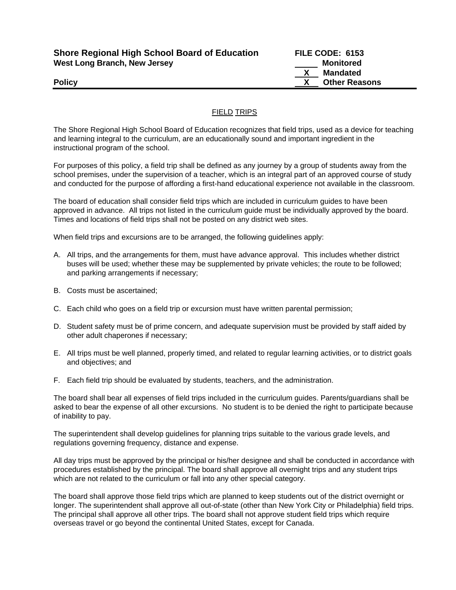| <b>Shore Regional High School Board of Education</b> | FILE CODE: 6153      |
|------------------------------------------------------|----------------------|
| West Long Branch, New Jersey                         | Monitored            |
|                                                      | Mandated             |
| <b>Policy</b>                                        | <b>Other Reasons</b> |

## FIELD TRIPS

The Shore Regional High School Board of Education recognizes that field trips, used as a device for teaching and learning integral to the curriculum, are an educationally sound and important ingredient in the instructional program of the school.

For purposes of this policy, a field trip shall be defined as any journey by a group of students away from the school premises, under the supervision of a teacher, which is an integral part of an approved course of study and conducted for the purpose of affording a first-hand educational experience not available in the classroom.

The board of education shall consider field trips which are included in curriculum guides to have been approved in advance. All trips not listed in the curriculum guide must be individually approved by the board. Times and locations of field trips shall not be posted on any district web sites.

When field trips and excursions are to be arranged, the following guidelines apply:

- A. All trips, and the arrangements for them, must have advance approval. This includes whether district buses will be used; whether these may be supplemented by private vehicles; the route to be followed; and parking arrangements if necessary;
- B. Costs must be ascertained;
- C. Each child who goes on a field trip or excursion must have written parental permission;
- D. Student safety must be of prime concern, and adequate supervision must be provided by staff aided by other adult chaperones if necessary;
- E. All trips must be well planned, properly timed, and related to regular learning activities, or to district goals and objectives; and
- F. Each field trip should be evaluated by students, teachers, and the administration.

The board shall bear all expenses of field trips included in the curriculum guides. Parents/guardians shall be asked to bear the expense of all other excursions. No student is to be denied the right to participate because of inability to pay.

The superintendent shall develop guidelines for planning trips suitable to the various grade levels, and regulations governing frequency, distance and expense.

All day trips must be approved by the principal or his/her designee and shall be conducted in accordance with procedures established by the principal. The board shall approve all overnight trips and any student trips which are not related to the curriculum or fall into any other special category.

The board shall approve those field trips which are planned to keep students out of the district overnight or longer. The superintendent shall approve all out-of-state (other than New York City or Philadelphia) field trips. The principal shall approve all other trips. The board shall not approve student field trips which require overseas travel or go beyond the continental United States, except for Canada.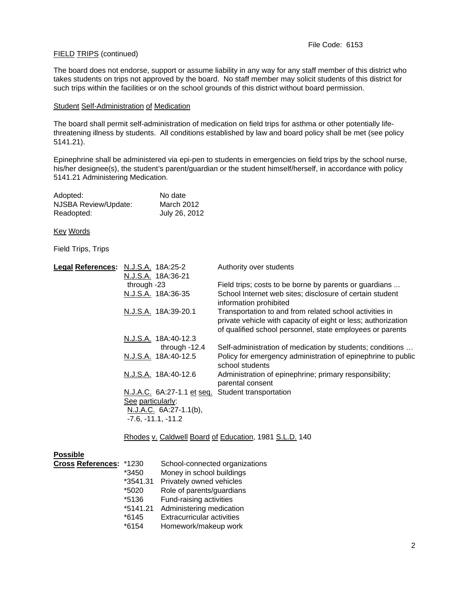## FIELD TRIPS (continued)

The board does not endorse, support or assume liability in any way for any staff member of this district who takes students on trips not approved by the board. No staff member may solicit students of this district for such trips within the facilities or on the school grounds of this district without board permission.

## Student Self-Administration of Medication

The board shall permit self-administration of medication on field trips for asthma or other potentially lifethreatening illness by students. All conditions established by law and board policy shall be met (see policy 5141.21).

Epinephrine shall be administered via epi-pen to students in emergencies on field trips by the school nurse, his/her designee(s), the student's parent/guardian or the student himself/herself, in accordance with policy 5141.21 Administering Medication.

| Adopted:             | No date       |
|----------------------|---------------|
| NJSBA Review/Update: | March 2012    |
| Readopted:           | July 26, 2012 |

Key Words

Field Trips, Trips

| Legal References: N.J.S.A. 18A:25-2 |                                                        | Authority over students                                                                                                                                                               |  |
|-------------------------------------|--------------------------------------------------------|---------------------------------------------------------------------------------------------------------------------------------------------------------------------------------------|--|
|                                     | N.J.S.A. 18A:36-21                                     |                                                                                                                                                                                       |  |
|                                     | through -23                                            | Field trips; costs to be borne by parents or guardians                                                                                                                                |  |
|                                     | N.J.S.A. 18A:36-35                                     | School Internet web sites; disclosure of certain student<br>information prohibited                                                                                                    |  |
|                                     | N.J.S.A. 18A:39-20.1                                   | Transportation to and from related school activities in<br>private vehicle with capacity of eight or less; authorization<br>of qualified school personnel, state employees or parents |  |
|                                     | N.J.S.A. 18A:40-12.3                                   |                                                                                                                                                                                       |  |
|                                     | through $-12.4$                                        | Self-administration of medication by students; conditions                                                                                                                             |  |
|                                     | N.J.S.A. 18A:40-12.5                                   | Policy for emergency administration of epinephrine to public<br>school students                                                                                                       |  |
|                                     | N.J.S.A. 18A:40-12.6                                   | Administration of epinephrine; primary responsibility;<br>parental consent                                                                                                            |  |
|                                     | N.J.A.C. 6A:27-1.1 et seq. Student transportation      |                                                                                                                                                                                       |  |
|                                     | See particularly:                                      |                                                                                                                                                                                       |  |
|                                     | N.J.A.C. 6A:27-1.1(b),                                 |                                                                                                                                                                                       |  |
|                                     | $-7.6, -11.1, -11.2$                                   |                                                                                                                                                                                       |  |
|                                     | Rhodes v. Caldwell Board of Education, 1981 S.L.D. 140 |                                                                                                                                                                                       |  |
| <b>Possible</b>                     |                                                        |                                                                                                                                                                                       |  |

| г озэнле                 |          |                                   |
|--------------------------|----------|-----------------------------------|
| <b>Cross References:</b> | *1230    | School-connected organizations    |
|                          | *3450    | Money in school buildings         |
|                          | *3541.31 | Privately owned vehicles          |
|                          | *5020    | Role of parents/guardians         |
|                          | *5136    | Fund-raising activities           |
|                          | *5141.21 | Administering medication          |
|                          | $*6145$  | <b>Extracurricular activities</b> |
|                          | $*6154$  | Homework/makeup work              |
|                          |          |                                   |